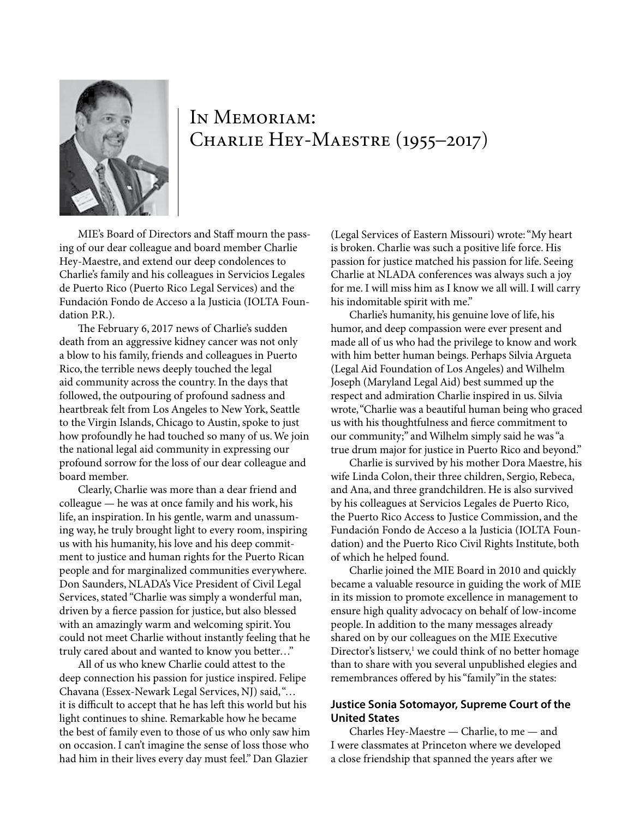

# In Memoriam: CHARLIE HEY-MAESTRE (1955–2017)

MIE's Board of Directors and Staff mourn the passing of our dear colleague and board member Charlie Hey-Maestre, and extend our deep condolences to Charlie's family and his colleagues in Servicios Legales de Puerto Rico (Puerto Rico Legal Services) and the Fundación Fondo de Acceso a la Justicia (IOLTA Foundation P.R.).

The February 6, 2017 news of Charlie's sudden death from an aggressive kidney cancer was not only a blow to his family, friends and colleagues in Puerto Rico, the terrible news deeply touched the legal aid community across the country. In the days that followed, the outpouring of profound sadness and heartbreak felt from Los Angeles to New York, Seattle to the Virgin Islands, Chicago to Austin, spoke to just how profoundly he had touched so many of us. We join the national legal aid community in expressing our profound sorrow for the loss of our dear colleague and board member.

Clearly, Charlie was more than a dear friend and colleague — he was at once family and his work, his life, an inspiration. In his gentle, warm and unassuming way, he truly brought light to every room, inspiring us with his humanity, his love and his deep commitment to justice and human rights for the Puerto Rican people and for marginalized communities everywhere. Don Saunders, NLADA's Vice President of Civil Legal Services, stated "Charlie was simply a wonderful man, driven by a fierce passion for justice, but also blessed with an amazingly warm and welcoming spirit. You could not meet Charlie without instantly feeling that he truly cared about and wanted to know you better…"

All of us who knew Charlie could attest to the deep connection his passion for justice inspired. Felipe Chavana (Essex-Newark Legal Services, NJ) said, "… it is difficult to accept that he has left this world but his light continues to shine. Remarkable how he became the best of family even to those of us who only saw him on occasion. I can't imagine the sense of loss those who had him in their lives every day must feel." Dan Glazier

(Legal Services of Eastern Missouri) wrote: "My heart is broken. Charlie was such a positive life force. His passion for justice matched his passion for life. Seeing Charlie at NLADA conferences was always such a joy for me. I will miss him as I know we all will. I will carry his indomitable spirit with me."

Charlie's humanity, his genuine love of life, his humor, and deep compassion were ever present and made all of us who had the privilege to know and work with him better human beings. Perhaps Silvia Argueta (Legal Aid Foundation of Los Angeles) and Wilhelm Joseph (Maryland Legal Aid) best summed up the respect and admiration Charlie inspired in us. Silvia wrote, "Charlie was a beautiful human being who graced us with his thoughtfulness and fierce commitment to our community;" and Wilhelm simply said he was "a true drum major for justice in Puerto Rico and beyond."

Charlie is survived by his mother Dora Maestre, his wife Linda Colon, their three children, Sergio, Rebeca, and Ana, and three grandchildren. He is also survived by his colleagues at Servicios Legales de Puerto Rico, the Puerto Rico Access to Justice Commission, and the Fundación Fondo de Acceso a la Justicia (IOLTA Foundation) and the Puerto Rico Civil Rights Institute, both of which he helped found.

Charlie joined the MIE Board in 2010 and quickly became a valuable resource in guiding the work of MIE in its mission to promote excellence in management to ensure high quality advocacy on behalf of low-income people. In addition to the many messages already shared on by our colleagues on the MIE Executive Director's listserv,<sup>1</sup> we could think of no better homage than to share with you several unpublished elegies and remembrances offered by his "family"in the states:

### **Justice Sonia Sotomayor, Supreme Court of the United States**

Charles Hey-Maestre — Charlie, to me — and I were classmates at Princeton where we developed a close friendship that spanned the years after we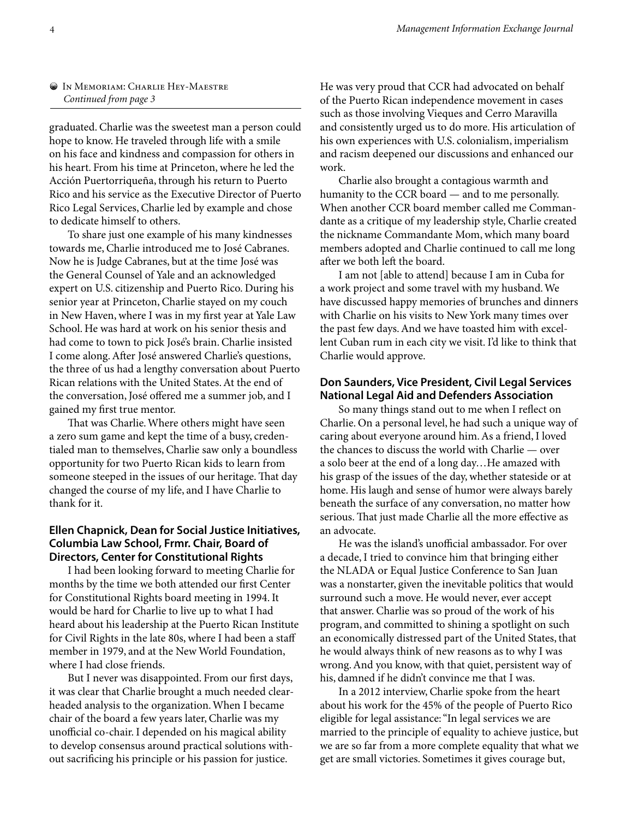#### In Memoriam: Charlie Hey-Maestre *Continued from page 3*

graduated. Charlie was the sweetest man a person could hope to know. He traveled through life with a smile on his face and kindness and compassion for others in his heart. From his time at Princeton, where he led the Acción Puertorriqueña, through his return to Puerto Rico and his service as the Executive Director of Puerto Rico Legal Services, Charlie led by example and chose to dedicate himself to others.

To share just one example of his many kindnesses towards me, Charlie introduced me to José Cabranes. Now he is Judge Cabranes, but at the time José was the General Counsel of Yale and an acknowledged expert on U.S. citizenship and Puerto Rico. During his senior year at Princeton, Charlie stayed on my couch in New Haven, where I was in my first year at Yale Law School. He was hard at work on his senior thesis and had come to town to pick José's brain. Charlie insisted I come along. After José answered Charlie's questions, the three of us had a lengthy conversation about Puerto Rican relations with the United States. At the end of the conversation, José offered me a summer job, and I gained my first true mentor.

That was Charlie. Where others might have seen a zero sum game and kept the time of a busy, credentialed man to themselves, Charlie saw only a boundless opportunity for two Puerto Rican kids to learn from someone steeped in the issues of our heritage. That day changed the course of my life, and I have Charlie to thank for it.

# **Ellen Chapnick, Dean for Social Justice Initiatives, Columbia Law School, Frmr. Chair, Board of Directors, Center for Constitutional Rights**

I had been looking forward to meeting Charlie for months by the time we both attended our first Center for Constitutional Rights board meeting in 1994. It would be hard for Charlie to live up to what I had heard about his leadership at the Puerto Rican Institute for Civil Rights in the late 80s, where I had been a staff member in 1979, and at the New World Foundation, where I had close friends.

But I never was disappointed. From our first days, it was clear that Charlie brought a much needed clearheaded analysis to the organization. When I became chair of the board a few years later, Charlie was my unofficial co-chair. I depended on his magical ability to develop consensus around practical solutions without sacrificing his principle or his passion for justice.

He was very proud that CCR had advocated on behalf of the Puerto Rican independence movement in cases such as those involving Vieques and Cerro Maravilla and consistently urged us to do more. His articulation of his own experiences with U.S. colonialism, imperialism and racism deepened our discussions and enhanced our work.

Charlie also brought a contagious warmth and humanity to the CCR board — and to me personally. When another CCR board member called me Commandante as a critique of my leadership style, Charlie created the nickname Commandante Mom, which many board members adopted and Charlie continued to call me long after we both left the board.

I am not [able to attend] because I am in Cuba for a work project and some travel with my husband. We have discussed happy memories of brunches and dinners with Charlie on his visits to New York many times over the past few days. And we have toasted him with excellent Cuban rum in each city we visit. I'd like to think that Charlie would approve.

### **Don Saunders, Vice President, Civil Legal Services National Legal Aid and Defenders Association**

So many things stand out to me when I reflect on Charlie. On a personal level, he had such a unique way of caring about everyone around him. As a friend, I loved the chances to discuss the world with Charlie — over a solo beer at the end of a long day…He amazed with his grasp of the issues of the day, whether stateside or at home. His laugh and sense of humor were always barely beneath the surface of any conversation, no matter how serious. That just made Charlie all the more effective as an advocate.

He was the island's unofficial ambassador. For over a decade, I tried to convince him that bringing either the NLADA or Equal Justice Conference to San Juan was a nonstarter, given the inevitable politics that would surround such a move. He would never, ever accept that answer. Charlie was so proud of the work of his program, and committed to shining a spotlight on such an economically distressed part of the United States, that he would always think of new reasons as to why I was wrong. And you know, with that quiet, persistent way of his, damned if he didn't convince me that I was.

In a 2012 interview, Charlie spoke from the heart about his work for the 45% of the people of Puerto Rico eligible for legal assistance: "In legal services we are married to the principle of equality to achieve justice, but we are so far from a more complete equality that what we get are small victories. Sometimes it gives courage but,